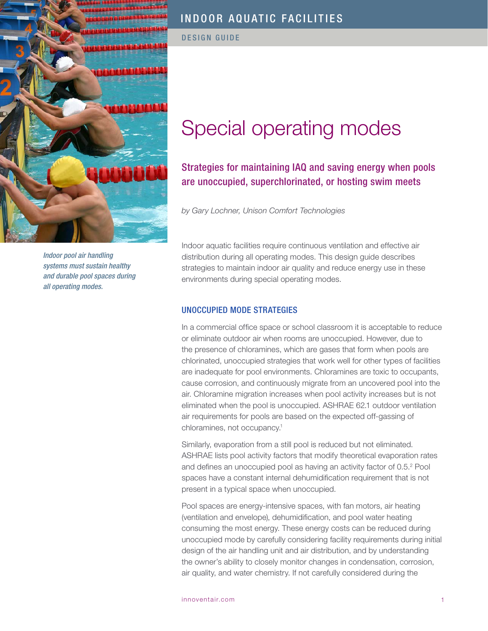

*Indoor pool air handling systems must sustain healthy and durable pool spaces during all operating modes.* 

# INDOOR AQUATIC FACILITIES

DESIGN GUIDE

# Special operating modes

# Strategies for maintaining IAQ and saving energy when pools are unoccupied, superchlorinated, or hosting swim meets

*by Gary Lochner, Unison Comfort Technologies*

Indoor aquatic facilities require continuous ventilation and effective air distribution during all operating modes. This design guide describes strategies to maintain indoor air quality and reduce energy use in these environments during special operating modes.

### UNOCCUPIED MODE STRATEGIES

In a commercial office space or school classroom it is acceptable to reduce or eliminate outdoor air when rooms are unoccupied. However, due to the presence of chloramines, which are gases that form when pools are chlorinated, unoccupied strategies that work well for other types of facilities are inadequate for pool environments. Chloramines are toxic to occupants, cause corrosion, and continuously migrate from an uncovered pool into the air. Chloramine migration increases when pool activity increases but is not eliminated when the pool is unoccupied. ASHRAE 62.1 outdoor ventilation air requirements for pools are based on the expected off-gassing of chloramines, not occupancy.<sup>1</sup>

Similarly, evaporation from a still pool is reduced but not eliminated. ASHRAE lists pool activity factors that modify theoretical evaporation rates and defines an unoccupied pool as having an activity factor of 0.5.2 Pool spaces have a constant internal dehumidification requirement that is not present in a typical space when unoccupied.

Pool spaces are energy-intensive spaces, with fan motors, air heating (ventilation and envelope), dehumidification, and pool water heating consuming the most energy. These energy costs can be reduced during unoccupied mode by carefully considering facility requirements during initial design of the air handling unit and air distribution, and by understanding the owner's ability to closely monitor changes in condensation, corrosion, air quality, and water chemistry. If not carefully considered during the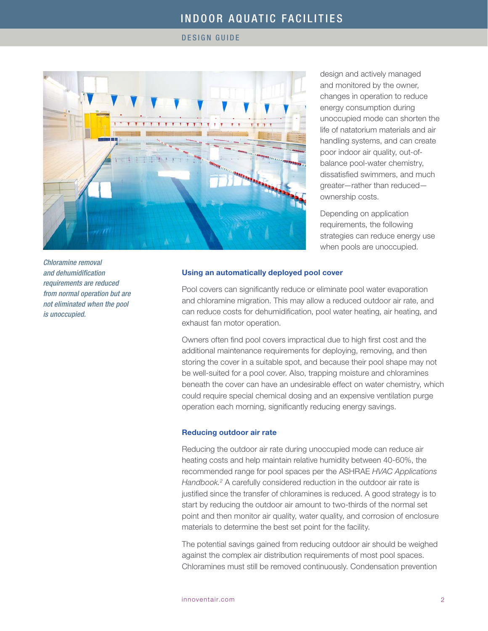#### DESIGN GUIDE



design and actively managed and monitored by the owner, changes in operation to reduce energy consumption during unoccupied mode can shorten the life of natatorium materials and air handling systems, and can create poor indoor air quality, out-ofbalance pool-water chemistry, dissatisfied swimmers, and much greater—rather than reduced ownership costs.

Depending on application requirements, the following strategies can reduce energy use when pools are unoccupied.

Using an automatically deployed pool cover

Pool covers can significantly reduce or eliminate pool water evaporation and chloramine migration. This may allow a reduced outdoor air rate, and can reduce costs for dehumidification, pool water heating, air heating, and exhaust fan motor operation.

Owners often find pool covers impractical due to high first cost and the additional maintenance requirements for deploying, removing, and then storing the cover in a suitable spot, and because their pool shape may not be well-suited for a pool cover. Also, trapping moisture and chloramines beneath the cover can have an undesirable effect on water chemistry, which could require special chemical dosing and an expensive ventilation purge operation each morning, significantly reducing energy savings.

#### Reducing outdoor air rate

Reducing the outdoor air rate during unoccupied mode can reduce air heating costs and help maintain relative humidity between 40-60%, the recommended range for pool spaces per the ASHRAE *HVAC Applications*  Handbook.<sup>2</sup> A carefully considered reduction in the outdoor air rate is justified since the transfer of chloramines is reduced. A good strategy is to start by reducing the outdoor air amount to two-thirds of the normal set point and then monitor air quality, water quality, and corrosion of enclosure materials to determine the best set point for the facility.

The potential savings gained from reducing outdoor air should be weighed against the complex air distribution requirements of most pool spaces. Chloramines must still be removed continuously. Condensation prevention

*Chloramine removal and dehumidification requirements are reduced from normal operation but are not eliminated when the pool is unoccupied.*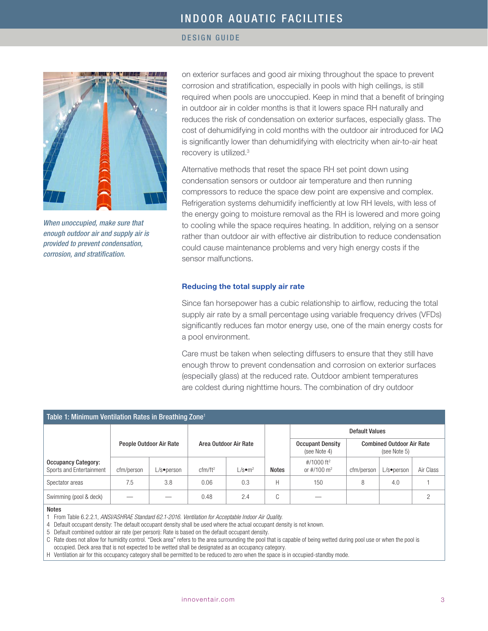### DESIGN GUIDE



*When unoccupied, make sure that enough outdoor air and supply air is provided to prevent condensation, corrosion, and stratification.*

on exterior surfaces and good air mixing throughout the space to prevent corrosion and stratification, especially in pools with high ceilings, is still required when pools are unoccupied. Keep in mind that a benefit of bringing in outdoor air in colder months is that it lowers space RH naturally and reduces the risk of condensation on exterior surfaces, especially glass. The cost of dehumidifying in cold months with the outdoor air introduced for IAQ is significantly lower than dehumidifying with electricity when air-to-air heat recovery is utilized.<sup>3</sup>

Alternative methods that reset the space RH set point down using condensation sensors or outdoor air temperature and then running compressors to reduce the space dew point are expensive and complex. Refrigeration systems dehumidify inefficiently at low RH levels, with less of the energy going to moisture removal as the RH is lowered and more going to cooling while the space requires heating. In addition, relying on a sensor rather than outdoor air with effective air distribution to reduce condensation could cause maintenance problems and very high energy costs if the sensor malfunctions.

#### Reducing the total supply air rate

Since fan horsepower has a cubic relationship to airflow, reducing the total supply air rate by a small percentage using variable frequency drives (VFDs) significantly reduces fan motor energy use, one of the main energy costs for a pool environment.

Care must be taken when selecting diffusers to ensure that they still have enough throw to prevent condensation and corrosion on exterior surfaces (especially glass) at the reduced rate. Outdoor ambient temperatures are coldest during nighttime hours. The combination of dry outdoor

| Table 1: Minimum Ventilation Rates in Breathing Zone <sup>1</sup> |            |                         |                       |                       |                        |                                                     |                                                  |            |           |  |
|-------------------------------------------------------------------|------------|-------------------------|-----------------------|-----------------------|------------------------|-----------------------------------------------------|--------------------------------------------------|------------|-----------|--|
|                                                                   |            |                         | Area Outdoor Air Rate |                       |                        | <b>Default Values</b>                               |                                                  |            |           |  |
|                                                                   |            | People Outdoor Air Rate |                       |                       |                        | <b>Occupant Density</b><br>(see Note 4)             | <b>Combined Outdoor Air Rate</b><br>(see Note 5) |            |           |  |
| <b>Occupancy Category:</b><br>Sports and Entertainment            | cfm/person | L/s•person              | cfm/ft <sup>2</sup>   | $L/s$ •m <sup>2</sup> | <b>Notes</b>           | #/1000 ft <sup>2</sup><br>or $\#/100 \; \text{m}^2$ | cfm/person                                       | L/s•person | Air Class |  |
| Spectator areas                                                   | 7.5        | 3.8                     | 0.06                  | 0.3                   | H                      | 150                                                 | 8                                                | 4.0        |           |  |
| Swimming (pool & deck)                                            |            |                         | 0.48                  | 2.4                   | $\cap$<br>$\mathbf{L}$ |                                                     |                                                  |            |           |  |

#### Notes

1 From Table 6.2.2.1, *ANSI/ASHRAE Standard 62.1-2016. Ventilation for Acceptable Indoor Air Quality.*

4 Default occupant density: The default occupant density shall be used where the actual occupant density is not known.

5 Default combined outdoor air rate (per person): Rate is based on the default occupant density.

C Rate does not allow for humidity control. "Deck area" refers to the area surrounding the pool that is capable of being wetted during pool use or when the pool is occupied. Deck area that is not expected to be wetted shall be designated as an occupancy category.

H Ventilation air for this occupancy category shall be permitted to be reduced to zero when the space is in occupied-standby mode.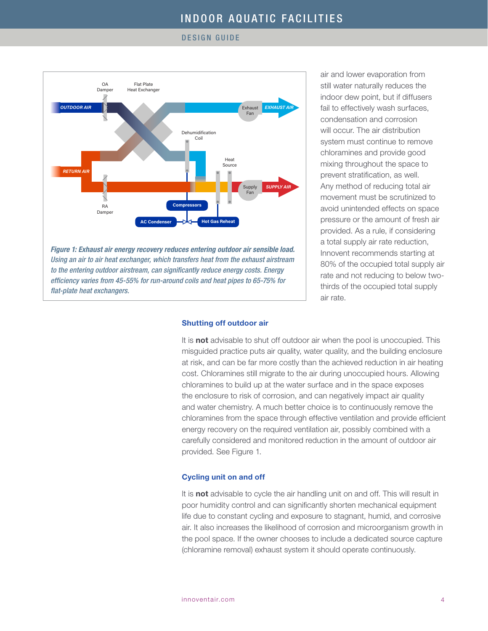#### DESIGN GUIDE



air and lower evaporation from still water naturally reduces the indoor dew point, but if diffusers fail to effectively wash surfaces, condensation and corrosion will occur. The air distribution system must continue to remove chloramines and provide good mixing throughout the space to prevent stratification, as well. Any method of reducing total air movement must be scrutinized to avoid unintended effects on space pressure or the amount of fresh air provided. As a rule, if considering a total supply air rate reduction, Innovent recommends starting at 80% of the occupied total supply air rate and not reducing to below twothirds of the occupied total supply air rate.

#### Shutting off outdoor air

It is not advisable to shut off outdoor air when the pool is unoccupied. This misguided practice puts air quality, water quality, and the building enclosure at risk, and can be far more costly than the achieved reduction in air heating cost. Chloramines still migrate to the air during unoccupied hours. Allowing chloramines to build up at the water surface and in the space exposes the enclosure to risk of corrosion, and can negatively impact air quality and water chemistry. A much better choice is to continuously remove the chloramines from the space through effective ventilation and provide efficient energy recovery on the required ventilation air, possibly combined with a carefully considered and monitored reduction in the amount of outdoor air provided. See Figure 1.

#### Cycling unit on and off

It is **not** advisable to cycle the air handling unit on and off. This will result in poor humidity control and can significantly shorten mechanical equipment life due to constant cycling and exposure to stagnant, humid, and corrosive air. It also increases the likelihood of corrosion and microorganism growth in the pool space. If the owner chooses to include a dedicated source capture (chloramine removal) exhaust system it should operate continuously.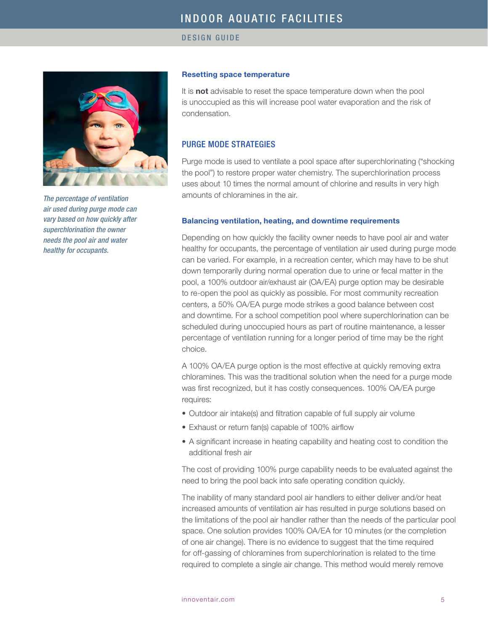DESIGN GUIDE



*The percentage of ventilation air used during purge mode can vary based on how quickly after superchlorination the owner needs the pool air and water healthy for occupants.*

### Resetting space temperature

It is not advisable to reset the space temperature down when the pool is unoccupied as this will increase pool water evaporation and the risk of condensation.

## PURGE MODE STRATEGIES

Purge mode is used to ventilate a pool space after superchlorinating ("shocking the pool") to restore proper water chemistry. The superchlorination process uses about 10 times the normal amount of chlorine and results in very high amounts of chloramines in the air.

### Balancing ventilation, heating, and downtime requirements

Depending on how quickly the facility owner needs to have pool air and water healthy for occupants, the percentage of ventilation air used during purge mode can be varied. For example, in a recreation center, which may have to be shut down temporarily during normal operation due to urine or fecal matter in the pool, a 100% outdoor air/exhaust air (OA/EA) purge option may be desirable to re-open the pool as quickly as possible. For most community recreation centers, a 50% OA/EA purge mode strikes a good balance between cost and downtime. For a school competition pool where superchlorination can be scheduled during unoccupied hours as part of routine maintenance, a lesser percentage of ventilation running for a longer period of time may be the right choice.

A 100% OA/EA purge option is the most effective at quickly removing extra chloramines. This was the traditional solution when the need for a purge mode was first recognized, but it has costly consequences. 100% OA/EA purge requires:

- Outdoor air intake(s) and filtration capable of full supply air volume
- Exhaust or return fan(s) capable of 100% airflow
- A significant increase in heating capability and heating cost to condition the additional fresh air

The cost of providing 100% purge capability needs to be evaluated against the need to bring the pool back into safe operating condition quickly.

The inability of many standard pool air handlers to either deliver and/or heat increased amounts of ventilation air has resulted in purge solutions based on the limitations of the pool air handler rather than the needs of the particular pool space. One solution provides 100% OA/EA for 10 minutes (or the completion of one air change). There is no evidence to suggest that the time required for off-gassing of chloramines from superchlorination is related to the time required to complete a single air change. This method would merely remove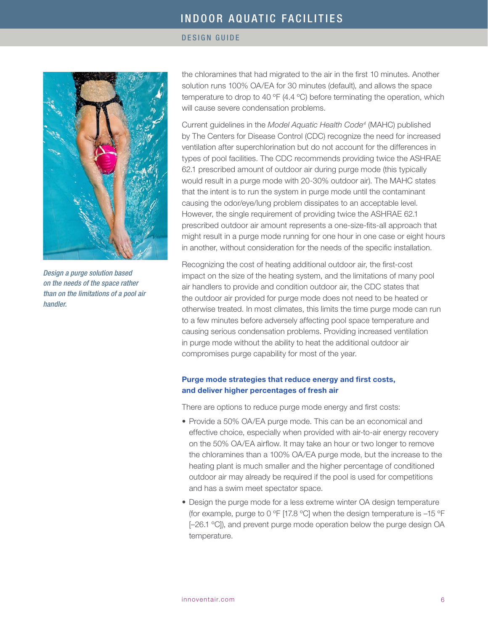### DESIGN GUIDE



*Design a purge solution based on the needs of the space rather than on the limitations of a pool air handler.* 

the chloramines that had migrated to the air in the first 10 minutes. Another solution runs 100% OA/EA for 30 minutes (default), and allows the space temperature to drop to 40  $\degree$ F (4.4  $\degree$ C) before terminating the operation, which will cause severe condensation problems.

Current guidelines in the *Model Aquatic Health Code4* (MAHC) published by The Centers for Disease Control (CDC) recognize the need for increased ventilation after superchlorination but do not account for the differences in types of pool facilities. The CDC recommends providing twice the ASHRAE 62.1 prescribed amount of outdoor air during purge mode (this typically would result in a purge mode with 20-30% outdoor air). The MAHC states that the intent is to run the system in purge mode until the contaminant causing the odor/eye/lung problem dissipates to an acceptable level. However, the single requirement of providing twice the ASHRAE 62.1 prescribed outdoor air amount represents a one-size-fits-all approach that might result in a purge mode running for one hour in one case or eight hours in another, without consideration for the needs of the specific installation.

Recognizing the cost of heating additional outdoor air, the first-cost impact on the size of the heating system, and the limitations of many pool air handlers to provide and condition outdoor air, the CDC states that the outdoor air provided for purge mode does not need to be heated or otherwise treated. In most climates, this limits the time purge mode can run to a few minutes before adversely affecting pool space temperature and causing serious condensation problems. Providing increased ventilation in purge mode without the ability to heat the additional outdoor air compromises purge capability for most of the year.

### Purge mode strategies that reduce energy and first costs, and deliver higher percentages of fresh air

There are options to reduce purge mode energy and first costs:

- Provide a 50% OA/EA purge mode. This can be an economical and effective choice, especially when provided with air-to-air energy recovery on the 50% OA/EA airflow. It may take an hour or two longer to remove the chloramines than a 100% OA/EA purge mode, but the increase to the heating plant is much smaller and the higher percentage of conditioned outdoor air may already be required if the pool is used for competitions and has a swim meet spectator space.
- Design the purge mode for a less extreme winter OA design temperature (for example, purge to 0 °F [17.8 °C] when the design temperature is  $-15$  °F [-26.1 °C]), and prevent purge mode operation below the purge design OA temperature.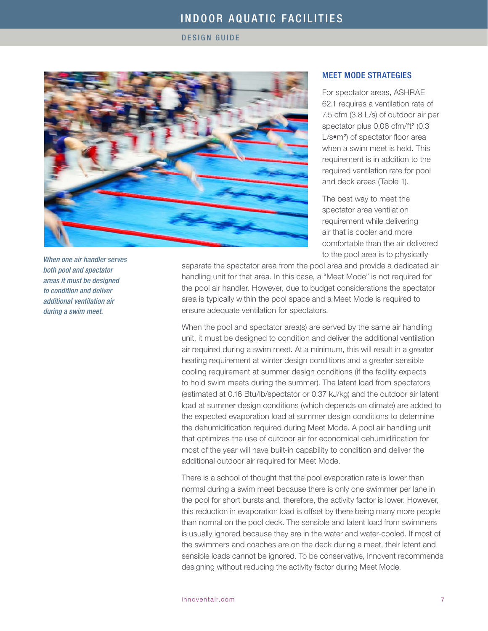DESIGN GUIDE



*When one air handler serves both pool and spectator areas it must be designed to condition and deliver additional ventilation air during a swim meet.*

### MEET MODE STRATEGIES

For spectator areas, ASHRAE 62.1 requires a ventilation rate of 7.5 cfm (3.8 L/s) of outdoor air per spectator plus 0.06 cfm/ft<sup>2</sup> (0.3 L/s•m<sup>2</sup>) of spectator floor area when a swim meet is held. This requirement is in addition to the required ventilation rate for pool and deck areas (Table 1).

The best way to meet the spectator area ventilation requirement while delivering air that is cooler and more comfortable than the air delivered to the pool area is to physically

separate the spectator area from the pool area and provide a dedicated air handling unit for that area. In this case, a "Meet Mode" is not required for the pool air handler. However, due to budget considerations the spectator area is typically within the pool space and a Meet Mode is required to ensure adequate ventilation for spectators.

When the pool and spectator area(s) are served by the same air handling unit, it must be designed to condition and deliver the additional ventilation air required during a swim meet. At a minimum, this will result in a greater heating requirement at winter design conditions and a greater sensible cooling requirement at summer design conditions (if the facility expects to hold swim meets during the summer). The latent load from spectators (estimated at 0.16 Btu/lb/spectator or 0.37 kJ/kg) and the outdoor air latent load at summer design conditions (which depends on climate) are added to the expected evaporation load at summer design conditions to determine the dehumidification required during Meet Mode. A pool air handling unit that optimizes the use of outdoor air for economical dehumidification for most of the year will have built-in capability to condition and deliver the additional outdoor air required for Meet Mode.

There is a school of thought that the pool evaporation rate is lower than normal during a swim meet because there is only one swimmer per lane in the pool for short bursts and, therefore, the activity factor is lower. However, this reduction in evaporation load is offset by there being many more people than normal on the pool deck. The sensible and latent load from swimmers is usually ignored because they are in the water and water-cooled. If most of the swimmers and coaches are on the deck during a meet, their latent and sensible loads cannot be ignored. To be conservative, Innovent recommends designing without reducing the activity factor during Meet Mode.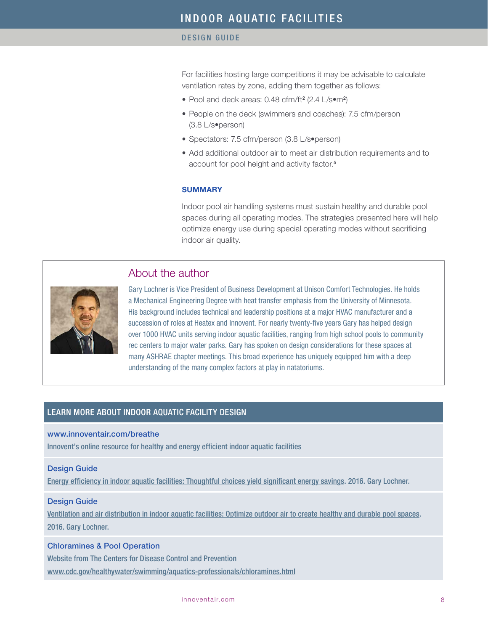### DESIGN GUIDE

For facilities hosting large competitions it may be advisable to calculate ventilation rates by zone, adding them together as follows:

- Pool and deck areas: 0.48 cfm/ft<sup>2</sup> (2.4 L/s•m<sup>2</sup>)
- People on the deck (swimmers and coaches): 7.5 cfm/person (3.8 L/s•person)
- Spectators: 7.5 cfm/person (3.8 L/s•person)
- Add additional outdoor air to meet air distribution requirements and to account for pool height and activity factor.<sup>5</sup>

### **SUMMARY**

Indoor pool air handling systems must sustain healthy and durable pool spaces during all operating modes. The strategies presented here will help optimize energy use during special operating modes without sacrificing indoor air quality.

# About the author



Gary Lochner is Vice President of Business Development at Unison Comfort Technologies. He holds a Mechanical Engineering Degree with heat transfer emphasis from the University of Minnesota. His background includes technical and leadership positions at a major HVAC manufacturer and a succession of roles at Heatex and Innovent. For nearly twenty-five years Gary has helped design over 1000 HVAC units serving indoor aquatic facilities, ranging from high school pools to community rec centers to major water parks. Gary has spoken on design considerations for these spaces at many ASHRAE chapter meetings. This broad experience has uniquely equipped him with a deep understanding of the many complex factors at play in natatoriums.

# LEARN MORE ABOUT INDOOR AQUATIC FACILITY DESIGN

### [www.innoventair.com/breathe](http://www.innoventair.com/breathe)

Innovent's online resource for healthy and energy efficient indoor aquatic facilities

### Design Guide

[Energy efficiency in indoor aquatic facilities: Thoughtful choices yield significant energy savings](http://www.innoventair.com/Portals/3/Breathe%20Content/Aquatic-facilities-energy-efficiency.pdf). 2016. Gary Lochner.

#### Design Guide

[Ventilation and air distribution in indoor aquatic facilities: Optimize outdoor air to create healthy and durable pool spaces](http://innoventair.com/Portals/3/Breathe%20Content/Ventilation-and-air-distribution-in-indoor-aquatic-facilities.pdf). 2016. Gary Lochner.

### [Chloramines & Pool Operation](http://www.cdc.gov/healthywater/swimming/aquatics-professionals/chloramines.html)

Website from The Centers for Disease Control and Prevention [www.cdc.gov/healthywater/swimming/aquatics-professionals/chloramines.html](http://www.cdc.gov/healthywater/swimming/aquatics-professionals/chloramines.html)